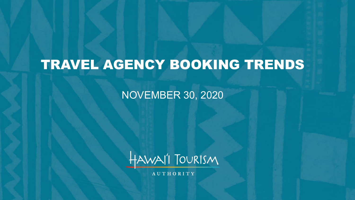# TRAVEL AGENCY BOOKING TRENDS

NOVEMBER 30, 2020



AUTHORITY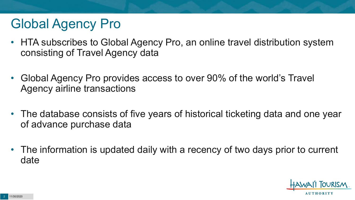# Global Agency Pro

- HTA subscribes to Global Agency Pro, an online travel distribution system consisting of Travel Agency data
- Global Agency Pro provides access to over 90% of the world's Travel Agency airline transactions
- The database consists of five years of historical ticketing data and one year of advance purchase data
- The information is updated daily with a recency of two days prior to current date

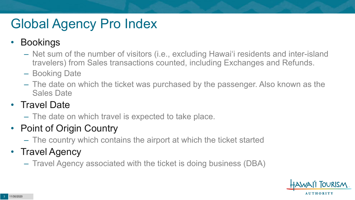# Global Agency Pro Index

### • Bookings

- Net sum of the number of visitors (i.e., excluding Hawai'i residents and inter-island travelers) from Sales transactions counted, including Exchanges and Refunds.
- Booking Date
- The date on which the ticket was purchased by the passenger. Also known as the Sales Date

### • Travel Date

– The date on which travel is expected to take place.

### • Point of Origin Country

– The country which contains the airport at which the ticket started

### • Travel Agency

– Travel Agency associated with the ticket is doing business (DBA)

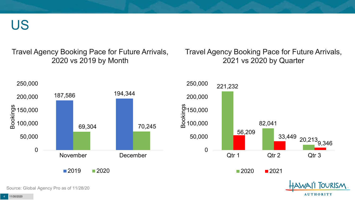US

Travel Agency Booking Pace for Future Arrivals, 2020 vs 2019 by Month

Travel Agency Booking Pace for Future Arrivals, 2021 vs 2020 by Quarter

**AUTHORITY** 



Source: Global Agency Pro as of 11/28/20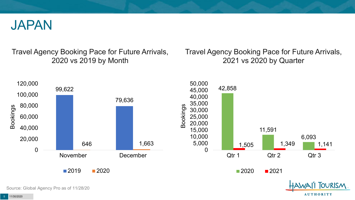

Travel Agency Booking Pace for Future Arrivals, 2020 vs 2019 by Month

Travel Agency Booking Pace for Future Arrivals, 2021 vs 2020 by Quarter

**AUTHORITY** 



Source: Global Agency Pro as of 11/28/20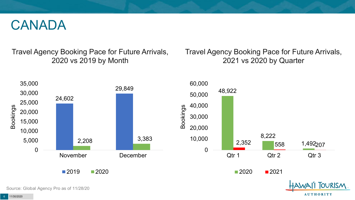### CANADA

Travel Agency Booking Pace for Future Arrivals, 2020 vs 2019 by Month

Travel Agency Booking Pace for Future Arrivals, 2021 vs 2020 by Quarter

**AUTHORITY** 



Source: Global Agency Pro as of 11/28/20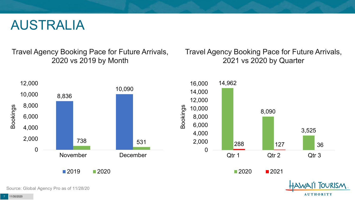### AUSTRALIA

Travel Agency Booking Pace for Future Arrivals, 2020 vs 2019 by Month

Travel Agency Booking Pace for Future Arrivals, 2021 vs 2020 by Quarter

**AUTHORITY** 



Source: Global Agency Pro as of 11/28/20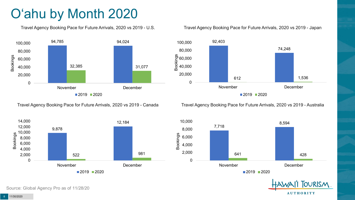# O'ahu by Month 2020

Travel Agency Booking Pace for Future Arrivals, 2020 vs 2019 - U.S.



Travel Agency Booking Pace for Future Arrivals, 2020 vs 2019 - Canada



Travel Agency Booking Pace for Future Arrivals, 2020 vs 2019 - Japan



Travel Agency Booking Pace for Future Arrivals, 2020 vs 2019 - Australia





Source: Global Agency Pro as of 11/28/20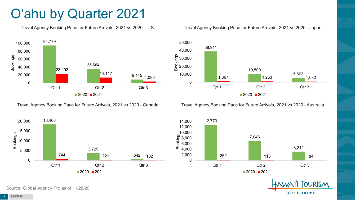# O'ahu by Quarter 2021

Travel Agency Booking Pace for Future Arrivals, 2021 vs 2020 - U.S.



Travel Agency Booking Pace for Future Arrivals, 2021 vs 2020 - Canada





Travel Agency Booking Pace for Future Arrivals, 2021 vs 2020 - Australia



12,770 7,043 3,211 262 113 34 0 2,000 4,000 6,000 8,000  $\frac{10,000}{2}$  8,000<br> $\frac{10}{2}$  6,000<br> $\frac{10,000}{2}$  4,000 12,000 14,000 Qtr 1 Qtr 2 Qtr 2 Qtr 3  $2020$  2021

> **TOURISM AUTHORITY**

Source: Global Agency Pro as of 11/28/20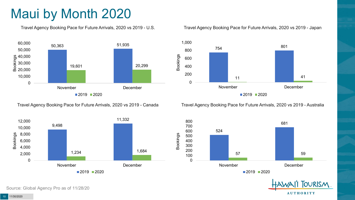# Maui by Month 2020

Travel Agency Booking Pace for Future Arrivals, 2020 vs 2019 - U.S.



Travel Agency Booking Pace for Future Arrivals, 2020 vs 2019 - Canada



#### Travel Agency Booking Pace for Future Arrivals, 2020 vs 2019 - Japan



Travel Agency Booking Pace for Future Arrivals, 2020 vs 2019 - Australia





Source: Global Agency Pro as of 11/28/20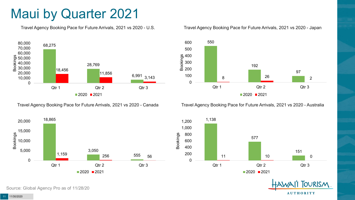## Maui by Quarter 2021

Travel Agency Booking Pace for Future Arrivals, 2021 vs 2020 - U.S.



Travel Agency Booking Pace for Future Arrivals, 2021 vs 2020 - Canada

0 100 200

#### Travel Agency Booking Pace for Future Arrivals, 2021 vs 2020 - Japan



Travel Agency Booking Pace for Future Arrivals, 2021 vs 2020 - Australia





**TOURISM AUTHORITY** 

Source: Global Agency Pro as of 11/28/20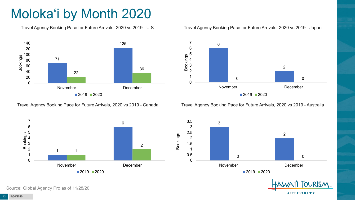# Moloka'i by Month 2020

Travel Agency Booking Pace for Future Arrivals, 2020 vs 2019 - U.S.



Travel Agency Booking Pace for Future Arrivals, 2020 vs 2019 - Canada



#### Travel Agency Booking Pace for Future Arrivals, 2020 vs 2019 - Japan



Travel Agency Booking Pace for Future Arrivals, 2020 vs 2019 - Australia





Source: Global Agency Pro as of 11/28/20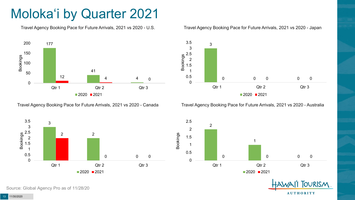# Moloka'i by Quarter 2021

Travel Agency Booking Pace for Future Arrivals, 2021 vs 2020 - U.S.



Travel Agency Booking Pace for Future Arrivals, 2021 vs 2020 - Canada



3

3.5

#### Travel Agency Booking Pace for Future Arrivals, 2021 vs 2020 - Japan

Travel Agency Booking Pace for Future Arrivals, 2021 vs 2020 - Australia

■2020 ■2021

Qtr 1 Qtr 2 Qtr 3





**TOURISM AUTHORITY** 

Source: Global Agency Pro as of 11/28/20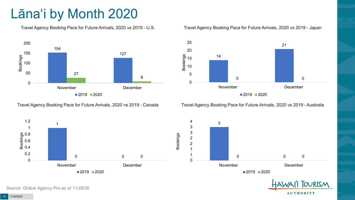# Lāna'i by Month 2020

Travel Agency Booking Pace for Future Arrivals, 2020 vs 2019 - U.S.



Travel Agency Booking Pace for Future Arrivals, 2020 vs 2019 - Canada





Travel Agency Booking Pace for Future Arrivals, 2020 vs 2019 - Australia

**AUTHORITY** 



Source: Global Agency Pro as of 11/28/20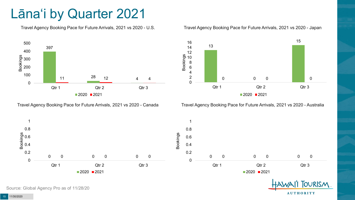## Lāna'i by Quarter 2021

Travel Agency Booking Pace for Future Arrivals, 2021 vs 2020 - U.S.



Travel Agency Booking Pace for Future Arrivals, 2021 vs 2020 - Canada





Travel Agency Booking Pace for Future Arrivals, 2021 vs 2020 - Australia





Source: Global Agency Pro as of 11/28/20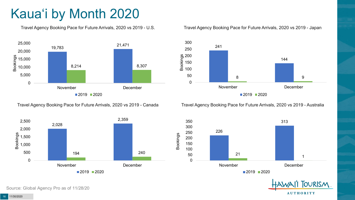# Kaua'i by Month 2020

Travel Agency Booking Pace for Future Arrivals, 2020 vs 2019 - U.S.



Travel Agency Booking Pace for Future Arrivals, 2020 vs 2019 - Canada



Source: Global Agency Pro as of 11/28/20

#### Travel Agency Booking Pace for Future Arrivals, 2020 vs 2019 - Japan



Travel Agency Booking Pace for Future Arrivals, 2020 vs 2019 - Australia





11/30/2020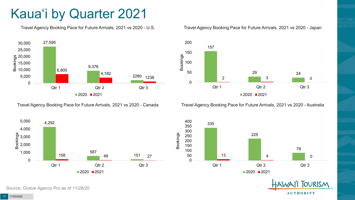# Kaua'i by Quarter 2021

Travel Agency Booking Pace for Future Arrivals, 2021 vs 2020 - U.S.



Travel Agency Booking Pace for Future Arrivals, 2021 vs 2020 - Canada





Travel Agency Booking Pace for Future Arrivals, 2021 vs 2020 - Australia

400



335 225 79 13 and 13 and 13 and 13 and 13 and 13 and 13 and 13 and 13 and 13 and 13 and 14 and 15 and 16 and 16 and 16 an 0 50 100 150 200 250 300 350 Qtr 1 Qtr 2 Qtr 3  $2020$  2021

> **TOURISM AUTHORITY**

Source: Global Agency Pro as of 11/28/20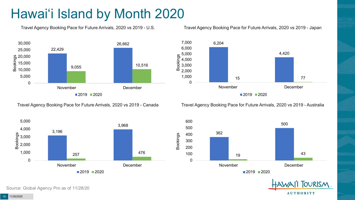# Hawai'i Island by Month 2020

Travel Agency Booking Pace for Future Arrivals, 2020 vs 2019 - U.S.



Travel Agency Booking Pace for Future Arrivals, 2020 vs 2019 - Japan



Travel Agency Booking Pace for Future Arrivals, 2020 vs 2019 - Canada

Travel Agency Booking Pace for Future Arrivals, 2020 vs 2019 - Australia







Source: Global Agency Pro as of 11/28/20